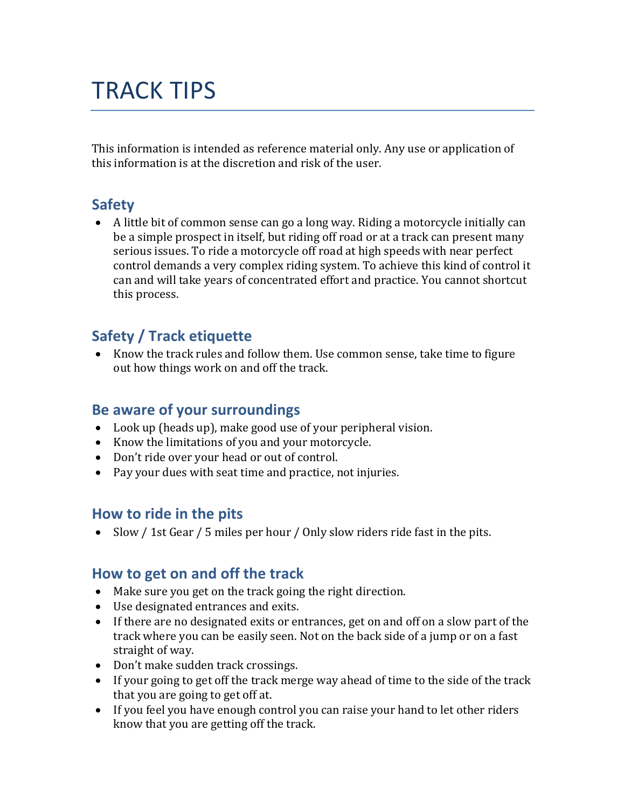# TRACK TIPS

This information is intended as reference material only. Any use or application of this information is at the discretion and risk of the user.

# **Safety**

 A little bit of common sense can go a long way. Riding a motorcycle initially can be a simple prospect in itself, but riding off road or at a track can present many serious issues. To ride a motorcycle off road at high speeds with near perfect control demands a very complex riding system. To achieve this kind of control it can and will take years of concentrated effort and practice. You cannot shortcut this process.

# **Safety / Track etiquette**

• Know the track rules and follow them. Use common sense, take time to figure out how things work on and off the track.

## **Be aware of your surroundings**

- Look up (heads up), make good use of your peripheral vision.
- Know the limitations of you and your motorcycle.
- Don't ride over your head or out of control.
- Pay your dues with seat time and practice, not injuries.

## **How to ride in the pits**

• Slow / 1st Gear / 5 miles per hour / Only slow riders ride fast in the pits.

## **How to get on and off the track**

- Make sure you get on the track going the right direction.
- Use designated entrances and exits.
- If there are no designated exits or entrances, get on and off on a slow part of the track where you can be easily seen. Not on the back side of a jump or on a fast straight of way.
- Don't make sudden track crossings.
- If your going to get off the track merge way ahead of time to the side of the track that you are going to get off at.
- If you feel you have enough control you can raise your hand to let other riders know that you are getting off the track.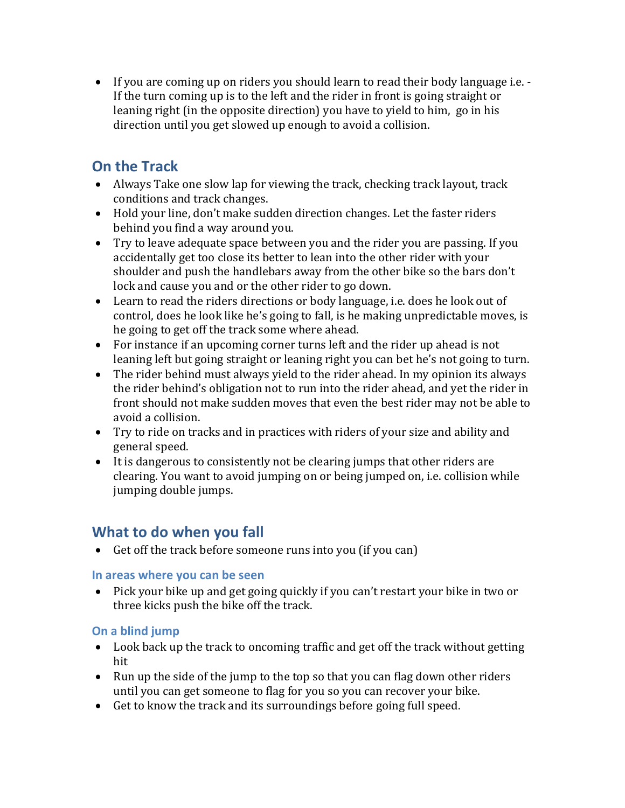If you are coming up on riders you should learn to read their body language i.e. - If the turn coming up is to the left and the rider in front is going straight or leaning right (in the opposite direction) you have to yield to him, go in his direction until you get slowed up enough to avoid a collision.

# **On the Track**

- Always Take one slow lap for viewing the track, checking track layout, track conditions and track changes.
- Hold your line, don't make sudden direction changes. Let the faster riders behind you find a way around you.
- Try to leave adequate space between you and the rider you are passing. If you accidentally get too close its better to lean into the other rider with your shoulder and push the handlebars away from the other bike so the bars don't lock and cause you and or the other rider to go down.
- Learn to read the riders directions or body language, i.e. does he look out of control, does he look like he's going to fall, is he making unpredictable moves, is he going to get off the track some where ahead.
- For instance if an upcoming corner turns left and the rider up ahead is not leaning left but going straight or leaning right you can bet he's not going to turn.
- The rider behind must always yield to the rider ahead. In my opinion its always the rider behind's obligation not to run into the rider ahead, and yet the rider in front should not make sudden moves that even the best rider may not be able to avoid a collision.
- Try to ride on tracks and in practices with riders of your size and ability and general speed.
- It is dangerous to consistently not be clearing jumps that other riders are clearing. You want to avoid jumping on or being jumped on, i.e. collision while jumping double jumps.

# **What to do when you fall**

• Get off the track before someone runs into you (if you can)

## **In areas where you can be seen**

 Pick your bike up and get going quickly if you can't restart your bike in two or three kicks push the bike off the track.

## **On a blind jump**

- Look back up the track to oncoming traffic and get off the track without getting hit
- Run up the side of the jump to the top so that you can flag down other riders until you can get someone to flag for you so you can recover your bike.
- Get to know the track and its surroundings before going full speed.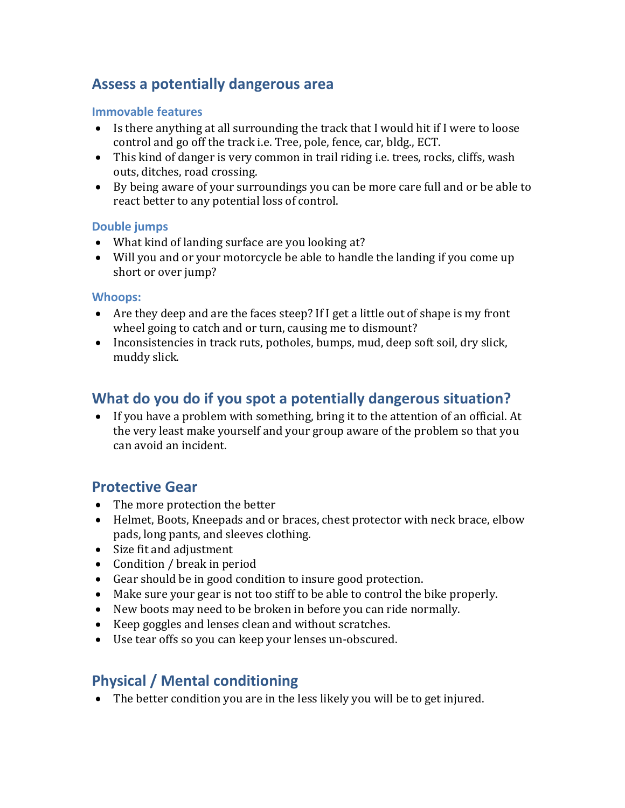# **Assess a potentially dangerous area**

#### **Immovable features**

- Is there anything at all surrounding the track that I would hit if I were to loose control and go off the track i.e. Tree, pole, fence, car, bldg., ECT.
- This kind of danger is very common in trail riding i.e. trees, rocks, cliffs, wash outs, ditches, road crossing.
- By being aware of your surroundings you can be more care full and or be able to react better to any potential loss of control.

#### **Double jumps**

- What kind of landing surface are you looking at?
- Will you and or your motorcycle be able to handle the landing if you come up short or over jump?

#### **Whoops:**

- Are they deep and are the faces steep? If I get a little out of shape is my front wheel going to catch and or turn, causing me to dismount?
- Inconsistencies in track ruts, potholes, bumps, mud, deep soft soil, dry slick, muddy slick.

# **What do you do if you spot a potentially dangerous situation?**

 If you have a problem with something, bring it to the attention of an official. At the very least make yourself and your group aware of the problem so that you can avoid an incident.

## **Protective Gear**

- The more protection the better
- Helmet, Boots, Kneepads and or braces, chest protector with neck brace, elbow pads, long pants, and sleeves clothing.
- Size fit and adjustment
- Condition / break in period
- Gear should be in good condition to insure good protection.
- Make sure your gear is not too stiff to be able to control the bike properly.
- New boots may need to be broken in before you can ride normally.
- Keep goggles and lenses clean and without scratches.
- Use tear offs so you can keep your lenses un-obscured.

# **Physical / Mental conditioning**

The better condition you are in the less likely you will be to get injured.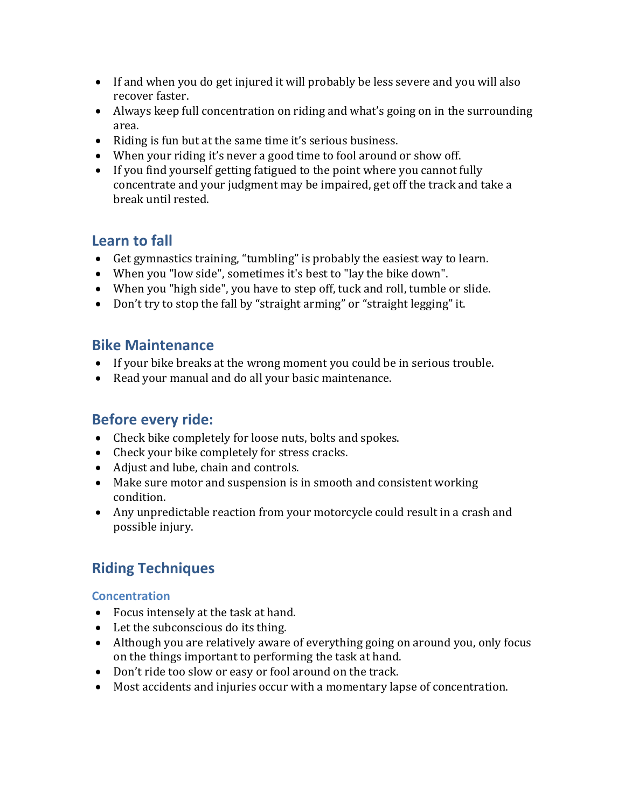- If and when you do get injured it will probably be less severe and you will also recover faster.
- Always keep full concentration on riding and what's going on in the surrounding area.
- Riding is fun but at the same time it's serious business.
- When your riding it's never a good time to fool around or show off.
- If you find yourself getting fatigued to the point where you cannot fully concentrate and your judgment may be impaired, get off the track and take a break until rested.

# **Learn to fall**

- Get gymnastics training, "tumbling" is probably the easiest way to learn.
- When you "low side", sometimes it's best to "lay the bike down".
- When you "high side", you have to step off, tuck and roll, tumble or slide.
- Don't try to stop the fall by "straight arming" or "straight legging" it.

## **Bike Maintenance**

- If your bike breaks at the wrong moment you could be in serious trouble.
- Read your manual and do all your basic maintenance.

## **Before every ride:**

- Check bike completely for loose nuts, bolts and spokes.
- Check your bike completely for stress cracks.
- Adjust and lube, chain and controls.
- Make sure motor and suspension is in smooth and consistent working condition.
- Any unpredictable reaction from your motorcycle could result in a crash and possible injury.

# **Riding Techniques**

### **Concentration**

- Focus intensely at the task at hand.
- Let the subconscious do its thing.
- Although you are relatively aware of everything going on around you, only focus on the things important to performing the task at hand.
- Don't ride too slow or easy or fool around on the track.
- Most accidents and injuries occur with a momentary lapse of concentration.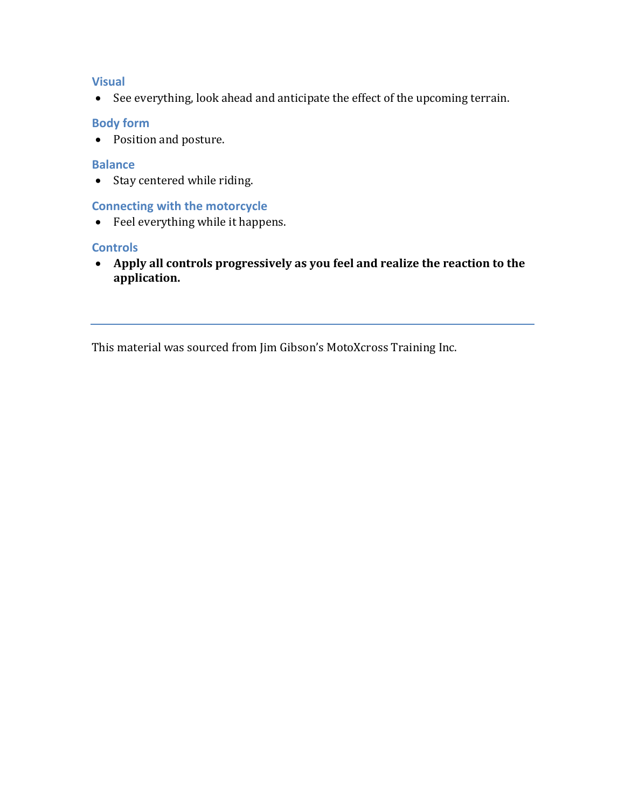#### **Visual**

See everything, look ahead and anticipate the effect of the upcoming terrain.

#### **Body form**

• Position and posture.

#### **Balance**

• Stay centered while riding.

#### **Connecting with the motorcycle**

Feel everything while it happens.

#### **Controls**

 **Apply all controls progressively as you feel and realize the reaction to the application.**

This material was sourced from Jim Gibson's MotoXcross Training Inc.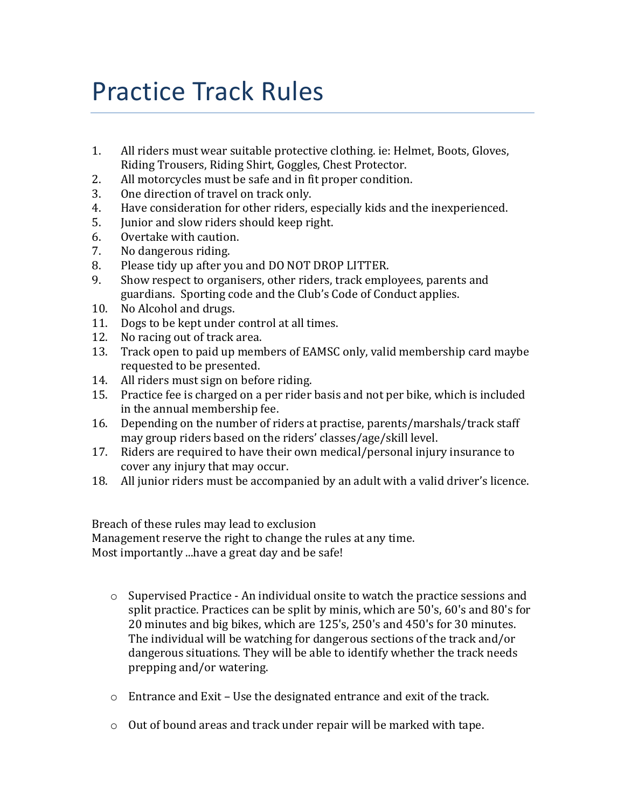# Practice Track Rules

- 1. All riders must wear suitable protective clothing. ie: Helmet, Boots, Gloves, Riding Trousers, Riding Shirt, Goggles, Chest Protector.
- 2. All motorcycles must be safe and in fit proper condition.
- 3. One direction of travel on track only.
- 4. Have consideration for other riders, especially kids and the inexperienced.
- 5. Junior and slow riders should keep right.
- 6. Overtake with caution.
- 7. No dangerous riding.
- 8. Please tidy up after you and DO NOT DROP LITTER.
- 9. Show respect to organisers, other riders, track employees, parents and guardians. Sporting code and the Club's Code of Conduct applies.
- 10. No Alcohol and drugs.
- 11. Dogs to be kept under control at all times.
- 12. No racing out of track area.
- 13. Track open to paid up members of EAMSC only, valid membership card maybe requested to be presented.
- 14. All riders must sign on before riding.
- 15. Practice fee is charged on a per rider basis and not per bike, which is included in the annual membership fee.
- 16. Depending on the number of riders at practise, parents/marshals/track staff may group riders based on the riders' classes/age/skill level.
- 17. Riders are required to have their own medical/personal injury insurance to cover any injury that may occur.
- 18. All junior riders must be accompanied by an adult with a valid driver's licence.

Breach of these rules may lead to exclusion Management reserve the right to change the rules at any time. Most importantly ...have a great day and be safe!

- o Supervised Practice An individual onsite to watch the practice sessions and split practice. Practices can be split by minis, which are 50's, 60's and 80's for 20 minutes and big bikes, which are 125's, 250's and 450's for 30 minutes. The individual will be watching for dangerous sections of the track and/or dangerous situations. They will be able to identify whether the track needs prepping and/or watering.
- o Entrance and Exit Use the designated entrance and exit of the track.
- o Out of bound areas and track under repair will be marked with tape.